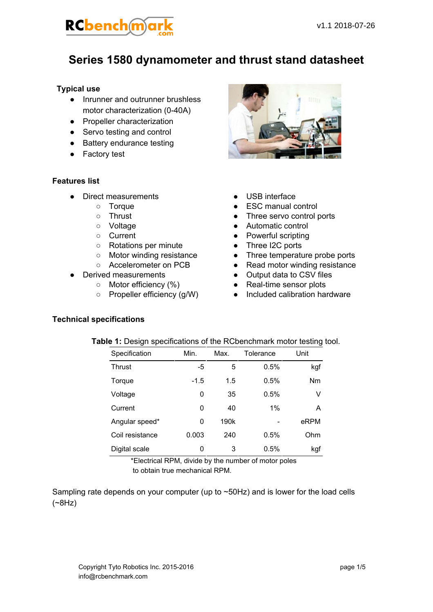

### **Series 1580 dynamometer and thrust stand datasheet**

### **Typical use**

- Inrunner and outrunner brushless motor characterization (040A)
- Propeller characterization
- Servo testing and control
- Battery endurance testing
- Factory test

#### **Features list**

- Direct measurements
	- Torque
	- Thrust
	- Voltage
	- Current
	- Rotations per minute
	- Motor winding resistance
	- Accelerometer on PCB
- Derived measurements
	- Motor efficiency (%)
	- Propeller efficiency (g/W)



- USB interface
- ESC manual control
- Three servo control ports
- Automatic control
- Powerful scripting
- Three I2C ports
- Three temperature probe ports
- Read motor winding resistance
- Output data to CSV files
- $\bullet$  Real-time sensor plots
- Included calibration hardware

#### **Technical specifications**

| Table 1: Design specifications of the RCbenchmark motor testing tool. |
|-----------------------------------------------------------------------|
|-----------------------------------------------------------------------|

| Specification   | Min.   | Max.             | Tolerance | Unit |
|-----------------|--------|------------------|-----------|------|
| <b>Thrust</b>   | -5     | 5                | 0.5%      | kgf  |
| Torque          | $-1.5$ | 1.5              | 0.5%      | Nm   |
| Voltage         | 0      | 35               | 0.5%      | V    |
| Current         | 0      | 40               | $1\%$     | A    |
| Angular speed*  | 0      | 190 <sub>k</sub> |           | eRPM |
| Coil resistance | 0.003  | 240              | 0.5%      | Ohm  |
| Digital scale   | 0      | 3                | 0.5%      | kgf  |

\*Electrical RPM, divide by the number of motor poles to obtain true mechanical RPM.

Sampling rate depends on your computer (up to ~50Hz) and is lower for the load cells (~8Hz)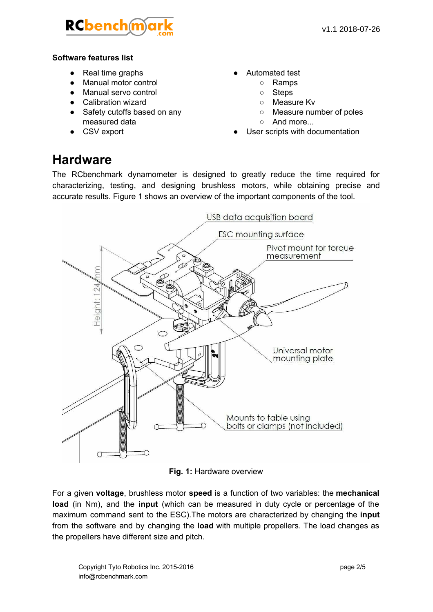

### **Software features list**

- Real time graphs
- Manual motor control
- Manual servo control
- Calibration wizard
- Safety cutoffs based on any measured data
- CSV export
- Automated test
	- Ramps
	- Steps
	- Measure Kv
	- Measure number of poles
	- And more...
- User scripts with documentation

### **Hardware**

The RCbenchmark dynamometer is designed to greatly reduce the time required for characterizing, testing, and designing brushless motors, while obtaining precise and accurate results. Figure 1 shows an overview of the important components of the tool.



**Fig. 1:** Hardware overview

For a given **voltage**, brushless motor **speed** is a function of two variables: the **mechanical load** (in Nm), and the **input** (which can be measured in duty cycle or percentage of the maximum command sent to the ESC). The motors are characterized by changing the **input** from the software and by changing the **load** with multiple propellers. The load changes as the propellers have different size and pitch.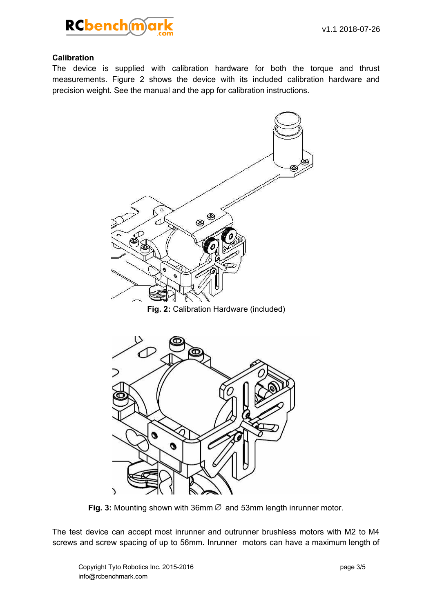

### **Calibration**

The device is supplied with calibration hardware for both the torque and thrust measurements. Figure 2 shows the device with its included calibration hardware and precision weight. See the manual and the app for calibration instructions.



**Fig. 3:** Mounting shown with 36mm∅ and 53mm length inrunner motor.

The test device can accept most inrunner and outrunner brushless motors with M2 to M4 screws and screw spacing of up to 56mm. Inrunner motors can have a maximum length of

 $\mathcal{L}$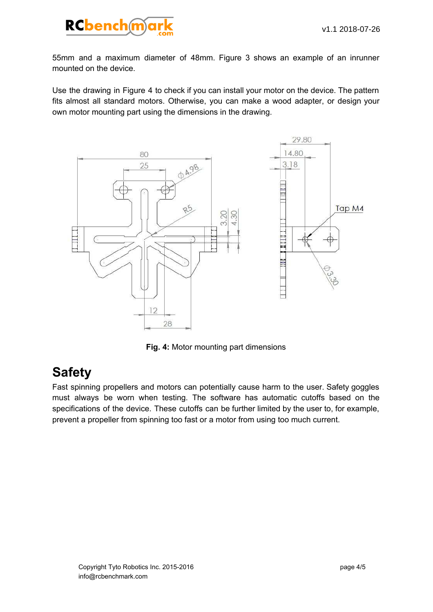

55mm and a maximum diameter of 48mm. Figure 3 shows an example of an inrunner mounted on the device.

Use the drawing in Figure 4 to check if you can install your motor on the device. The pattern fits almost all standard motors. Otherwise, you can make a wood adapter, or design your own motor mounting part using the dimensions in the drawing.



**Fig. 4:** Motor mounting part dimensions

# **Safety**

Fast spinning propellers and motors can potentially cause harm to the user. Safety goggles must always be worn when testing. The software has automatic cutoffs based on the specifications of the device. These cutoffs can be further limited by the user to, for example, prevent a propeller from spinning too fast or a motor from using too much current.